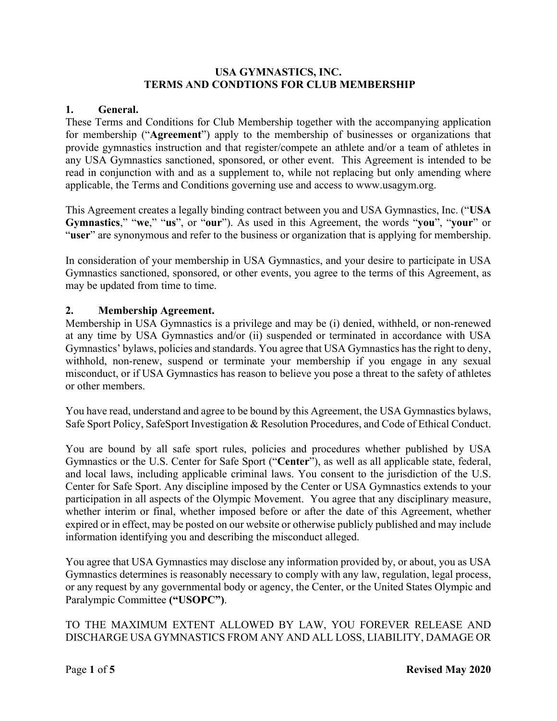#### **USA GYMNASTICS, INC. TERMS AND CONDTIONS FOR CLUB MEMBERSHIP**

#### **1. General.**

These Terms and Conditions for Club Membership together with the accompanying application for membership ("**Agreement**") apply to the membership of businesses or organizations that provide gymnastics instruction and that register/compete an athlete and/or a team of athletes in any USA Gymnastics sanctioned, sponsored, or other event. This Agreement is intended to be read in conjunction with and as a supplement to, while not replacing but only amending where applicable, the Terms and Conditions governing use and access to www.usagym.org.

This Agreement creates a legally binding contract between you and USA Gymnastics, Inc. ("**USA Gymnastics**," "**we**," "**us**", or "**our**"). As used in this Agreement, the words "**you**", "**your**" or "**user**" are synonymous and refer to the business or organization that is applying for membership.

In consideration of your membership in USA Gymnastics, and your desire to participate in USA Gymnastics sanctioned, sponsored, or other events, you agree to the terms of this Agreement, as may be updated from time to time.

#### **2. Membership Agreement.**

Membership in USA Gymnastics is a privilege and may be (i) denied, withheld, or non-renewed at any time by USA Gymnastics and/or (ii) suspended or terminated in accordance with USA Gymnastics' bylaws, policies and standards. You agree that USA Gymnastics has the right to deny, withhold, non-renew, suspend or terminate your membership if you engage in any sexual misconduct, or if USA Gymnastics has reason to believe you pose a threat to the safety of athletes or other members.

You have read, understand and agree to be bound by this Agreement, the USA Gymnastics bylaws, Safe Sport Policy, SafeSport Investigation & Resolution Procedures, and Code of Ethical Conduct.

You are bound by all safe sport rules, policies and procedures whether published by USA Gymnastics or the U.S. Center for Safe Sport ("**Center**"), as well as all applicable state, federal, and local laws, including applicable criminal laws. You consent to the jurisdiction of the U.S. Center for Safe Sport. Any discipline imposed by the Center or USA Gymnastics extends to your participation in all aspects of the Olympic Movement. You agree that any disciplinary measure, whether interim or final, whether imposed before or after the date of this Agreement, whether expired or in effect, may be posted on our website or otherwise publicly published and may include information identifying you and describing the misconduct alleged.

You agree that USA Gymnastics may disclose any information provided by, or about, you as USA Gymnastics determines is reasonably necessary to comply with any law, regulation, legal process, or any request by any governmental body or agency, the Center, or the United States Olympic and Paralympic Committee **("USOPC")**.

TO THE MAXIMUM EXTENT ALLOWED BY LAW, YOU FOREVER RELEASE AND DISCHARGE USA GYMNASTICS FROM ANY AND ALL LOSS, LIABILITY, DAMAGE OR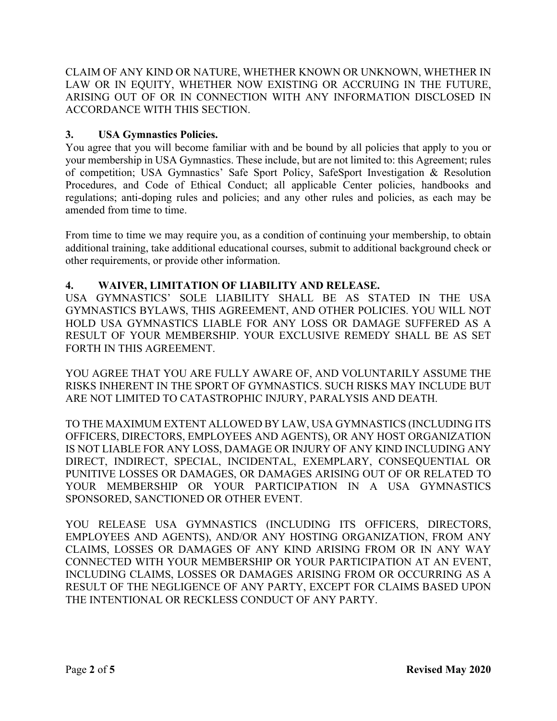CLAIM OF ANY KIND OR NATURE, WHETHER KNOWN OR UNKNOWN, WHETHER IN LAW OR IN EQUITY, WHETHER NOW EXISTING OR ACCRUING IN THE FUTURE, ARISING OUT OF OR IN CONNECTION WITH ANY INFORMATION DISCLOSED IN ACCORDANCE WITH THIS SECTION.

### **3. USA Gymnastics Policies.**

You agree that you will become familiar with and be bound by all policies that apply to you or your membership in USA Gymnastics. These include, but are not limited to: this Agreement; rules of competition; USA Gymnastics' Safe Sport Policy, SafeSport Investigation & Resolution Procedures, and Code of Ethical Conduct; all applicable Center policies, handbooks and regulations; anti-doping rules and policies; and any other rules and policies, as each may be amended from time to time.

From time to time we may require you, as a condition of continuing your membership, to obtain additional training, take additional educational courses, submit to additional background check or other requirements, or provide other information.

### **4. WAIVER, LIMITATION OF LIABILITY AND RELEASE.**

USA GYMNASTICS' SOLE LIABILITY SHALL BE AS STATED IN THE USA GYMNASTICS BYLAWS, THIS AGREEMENT, AND OTHER POLICIES. YOU WILL NOT HOLD USA GYMNASTICS LIABLE FOR ANY LOSS OR DAMAGE SUFFERED AS A RESULT OF YOUR MEMBERSHIP. YOUR EXCLUSIVE REMEDY SHALL BE AS SET FORTH IN THIS AGREEMENT.

YOU AGREE THAT YOU ARE FULLY AWARE OF, AND VOLUNTARILY ASSUME THE RISKS INHERENT IN THE SPORT OF GYMNASTICS. SUCH RISKS MAY INCLUDE BUT ARE NOT LIMITED TO CATASTROPHIC INJURY, PARALYSIS AND DEATH.

TO THE MAXIMUM EXTENT ALLOWED BY LAW, USA GYMNASTICS (INCLUDING ITS OFFICERS, DIRECTORS, EMPLOYEES AND AGENTS), OR ANY HOST ORGANIZATION IS NOT LIABLE FOR ANY LOSS, DAMAGE OR INJURY OF ANY KIND INCLUDING ANY DIRECT, INDIRECT, SPECIAL, INCIDENTAL, EXEMPLARY, CONSEQUENTIAL OR PUNITIVE LOSSES OR DAMAGES, OR DAMAGES ARISING OUT OF OR RELATED TO YOUR MEMBERSHIP OR YOUR PARTICIPATION IN A USA GYMNASTICS SPONSORED, SANCTIONED OR OTHER EVENT.

YOU RELEASE USA GYMNASTICS (INCLUDING ITS OFFICERS, DIRECTORS, EMPLOYEES AND AGENTS), AND/OR ANY HOSTING ORGANIZATION, FROM ANY CLAIMS, LOSSES OR DAMAGES OF ANY KIND ARISING FROM OR IN ANY WAY CONNECTED WITH YOUR MEMBERSHIP OR YOUR PARTICIPATION AT AN EVENT, INCLUDING CLAIMS, LOSSES OR DAMAGES ARISING FROM OR OCCURRING AS A RESULT OF THE NEGLIGENCE OF ANY PARTY, EXCEPT FOR CLAIMS BASED UPON THE INTENTIONAL OR RECKLESS CONDUCT OF ANY PARTY.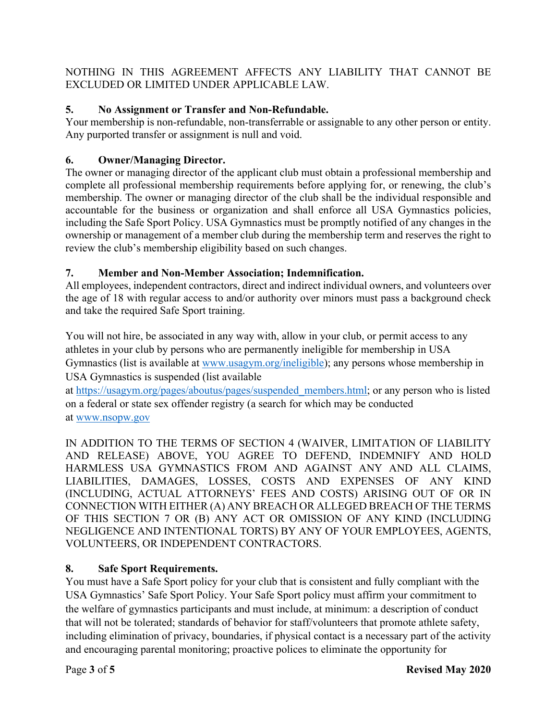NOTHING IN THIS AGREEMENT AFFECTS ANY LIABILITY THAT CANNOT BE EXCLUDED OR LIMITED UNDER APPLICABLE LAW.

## **5. No Assignment or Transfer and Non-Refundable.**

Your membership is non-refundable, non-transferrable or assignable to any other person or entity. Any purported transfer or assignment is null and void.

# **6. Owner/Managing Director.**

The owner or managing director of the applicant club must obtain a professional membership and complete all professional membership requirements before applying for, or renewing, the club's membership. The owner or managing director of the club shall be the individual responsible and accountable for the business or organization and shall enforce all USA Gymnastics policies, including the Safe Sport Policy. USA Gymnastics must be promptly notified of any changes in the ownership or management of a member club during the membership term and reserves the right to review the club's membership eligibility based on such changes.

# **7. Member and Non-Member Association; Indemnification.**

All employees, independent contractors, direct and indirect individual owners, and volunteers over the age of 18 with regular access to and/or authority over minors must pass a background check and take the required Safe Sport training.

You will not hire, be associated in any way with, allow in your club, or permit access to any athletes in your club by persons who are permanently ineligible for membership in USA Gymnastics (list is available at www.usagym.org/ineligible); any persons whose membership in USA Gymnastics is suspended (list available

at https://usagym.org/pages/aboutus/pages/suspended\_members.html; or any person who is listed on a federal or state sex offender registry (a search for which may be conducted at www.nsopw.gov

IN ADDITION TO THE TERMS OF SECTION 4 (WAIVER, LIMITATION OF LIABILITY AND RELEASE) ABOVE, YOU AGREE TO DEFEND, INDEMNIFY AND HOLD HARMLESS USA GYMNASTICS FROM AND AGAINST ANY AND ALL CLAIMS, LIABILITIES, DAMAGES, LOSSES, COSTS AND EXPENSES OF ANY KIND (INCLUDING, ACTUAL ATTORNEYS' FEES AND COSTS) ARISING OUT OF OR IN CONNECTION WITH EITHER (A) ANY BREACH OR ALLEGED BREACH OF THE TERMS OF THIS SECTION 7 OR (B) ANY ACT OR OMISSION OF ANY KIND (INCLUDING NEGLIGENCE AND INTENTIONAL TORTS) BY ANY OF YOUR EMPLOYEES, AGENTS, VOLUNTEERS, OR INDEPENDENT CONTRACTORS.

# **8. Safe Sport Requirements.**

You must have a Safe Sport policy for your club that is consistent and fully compliant with the USA Gymnastics' Safe Sport Policy. Your Safe Sport policy must affirm your commitment to the welfare of gymnastics participants and must include, at minimum: a description of conduct that will not be tolerated; standards of behavior for staff/volunteers that promote athlete safety, including elimination of privacy, boundaries, if physical contact is a necessary part of the activity and encouraging parental monitoring; proactive polices to eliminate the opportunity for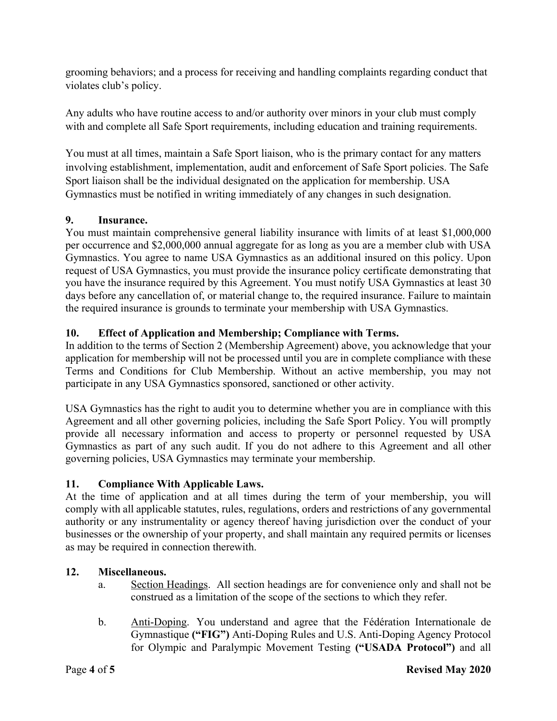grooming behaviors; and a process for receiving and handling complaints regarding conduct that violates club's policy.

Any adults who have routine access to and/or authority over minors in your club must comply with and complete all Safe Sport requirements, including education and training requirements.

You must at all times, maintain a Safe Sport liaison, who is the primary contact for any matters involving establishment, implementation, audit and enforcement of Safe Sport policies. The Safe Sport liaison shall be the individual designated on the application for membership. USA Gymnastics must be notified in writing immediately of any changes in such designation.

### **9. Insurance.**

You must maintain comprehensive general liability insurance with limits of at least \$1,000,000 per occurrence and \$2,000,000 annual aggregate for as long as you are a member club with USA Gymnastics. You agree to name USA Gymnastics as an additional insured on this policy. Upon request of USA Gymnastics, you must provide the insurance policy certificate demonstrating that you have the insurance required by this Agreement. You must notify USA Gymnastics at least 30 days before any cancellation of, or material change to, the required insurance. Failure to maintain the required insurance is grounds to terminate your membership with USA Gymnastics.

## **10. Effect of Application and Membership; Compliance with Terms.**

In addition to the terms of Section 2 (Membership Agreement) above, you acknowledge that your application for membership will not be processed until you are in complete compliance with these Terms and Conditions for Club Membership. Without an active membership, you may not participate in any USA Gymnastics sponsored, sanctioned or other activity.

USA Gymnastics has the right to audit you to determine whether you are in compliance with this Agreement and all other governing policies, including the Safe Sport Policy. You will promptly provide all necessary information and access to property or personnel requested by USA Gymnastics as part of any such audit. If you do not adhere to this Agreement and all other governing policies, USA Gymnastics may terminate your membership.

### **11. Compliance With Applicable Laws.**

At the time of application and at all times during the term of your membership, you will comply with all applicable statutes, rules, regulations, orders and restrictions of any governmental authority or any instrumentality or agency thereof having jurisdiction over the conduct of your businesses or the ownership of your property, and shall maintain any required permits or licenses as may be required in connection therewith.

## **12. Miscellaneous.**

- a. Section Headings. All section headings are for convenience only and shall not be construed as a limitation of the scope of the sections to which they refer.
- b. Anti-Doping. You understand and agree that the Fédération Internationale de Gymnastique **("FIG")** Anti-Doping Rules and U.S. Anti-Doping Agency Protocol for Olympic and Paralympic Movement Testing **("USADA Protocol")** and all